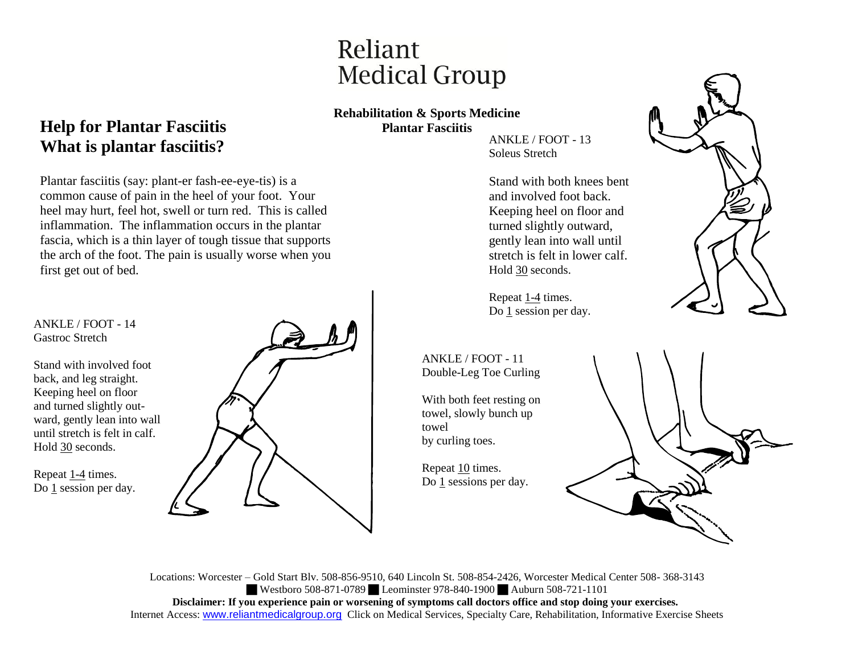# Reliant **Medical Group**

### **Rehabilitation & Sports Medicine Plantar Fasciitis**

ANKLE / FOOT - 13 Soleus Stretch

Stand with both knees bent and involved foot back. Keeping heel on floor and turned slightly outward, gently lean into wall until stretch is felt in lower calf. Hold 30 seconds.

Repeat 1-4 times. Do 1 session per day.

ANKLE / FOOT - 11 Double-Leg Toe Curling

With both feet resting on towel, slowly bunch up towel by curling toes.

Repeat 10 times. Do 1 sessions per day.



### **Help for Plantar Fasciitis What is plantar fasciitis?**

Plantar fasciitis (say: plant-er fash-ee-eye-tis) is a common cause of pain in the heel of your foot. Your heel may hurt, feel hot, swell or turn red. This is called inflammation. The inflammation occurs in the plantar fascia, which is a thin layer of tough tissue that supports the arch of the foot. The pain is usually worse when you first get out of bed.

ANKLE / FOOT - 14 Gastroc Stretch

Stand with involved foot back, and leg straight. Keeping heel on floor and turned slightly outward, gently lean into wall until stretch is felt in calf. Hold 30 seconds.

Repeat 1-4 times. Do 1 session per day.



Locations: Worcester – Gold Start Blv. 508-856-9510, 640 Lincoln St. 508-854-2426, Worcester Medical Center 508- 368-3143 Westboro 508-871-0789 Leominster 978-840-1900 Auburn 508-721-1101 **Disclaimer: If you experience pain or worsening of symptoms call doctors office and stop doing your exercises.** Internet Access: www.reliantmedicalgroup.org Click on Medical Services, Specialty Care, Rehabilitation, Informative Exercise Sheets